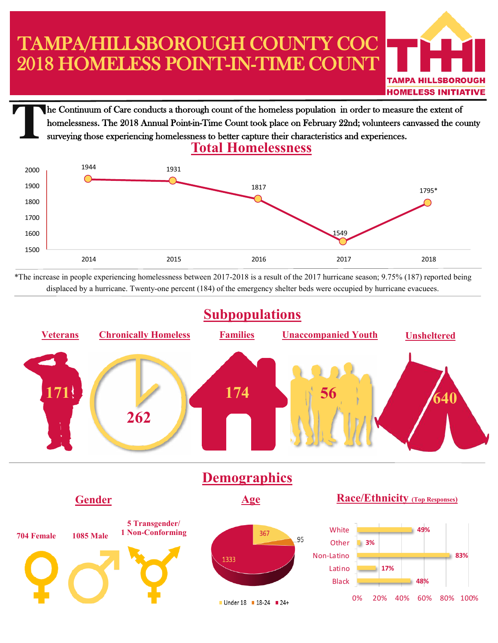## TAMPA/HILLSBOROUGH COUNTY COC 2018 HOMELESS POINT-IN-TIME COUNT



**THOMELESS INITIATIVE**<br>The Continuum of Care conducts a thorough count of the homeless population in order to measure the extent of homelessness. The 2018 Annual Point-in-Time Count took place on February 22nd; volunteers canvassed the county surveying those experiencing homelessness to better capture their characteristics and experiences.



\*The increase in people experiencing homelessness between 2017-2018 is a result of the 2017 hurricane season; 9.75% (187) reported being displaced by a hurricane. Twenty-one percent (184) of the emergency shelter beds were occupied by hurricane evacuees.



■ Under 18 ■ 18-24 ■ 24+